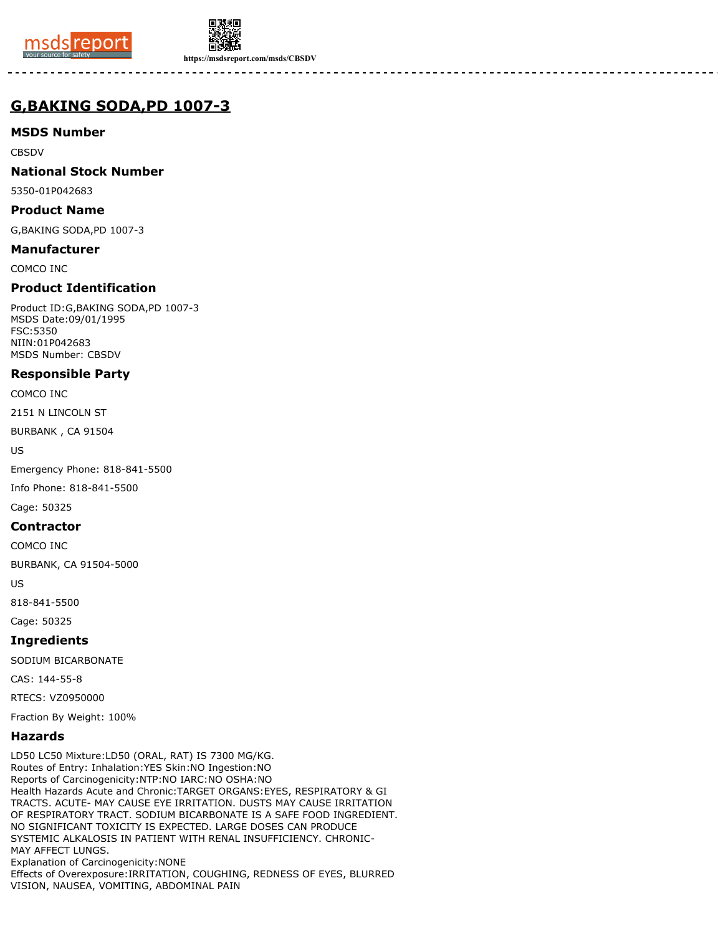



**https://msdsreport.com/msds/CBSDV**

# **G,BAKING SODA,PD 1007-3**

## **MSDS Number**

**CBSDV** 

## **National Stock Number**

5350-01P042683

### **Product Name**

G,BAKING SODA,PD 1007-3

### **Manufacturer**

COMCO INC

## **Product Identification**

Product ID:G,BAKING SODA,PD 1007-3 MSDS Date:09/01/1995 FSC:5350 NIIN:01P042683 MSDS Number: CBSDV

## **Responsible Party**

COMCO INC

2151 N LINCOLN ST

BURBANK , CA 91504

US

Emergency Phone: 818-841-5500

Info Phone: 818-841-5500

Cage: 50325

#### **Contractor**

COMCO INC

BURBANK, CA 91504-5000

US

818-841-5500

# Cage: 50325

## **Ingredients**

SODIUM BICARBONATE

CAS: 144-55-8

RTECS: VZ0950000

Fraction By Weight: 100%

#### **Hazards**

LD50 LC50 Mixture:LD50 (ORAL, RAT) IS 7300 MG/KG. Routes of Entry: Inhalation:YES Skin:NO Ingestion:NO Reports of Carcinogenicity:NTP:NO IARC:NO OSHA:NO Health Hazards Acute and Chronic:TARGET ORGANS:EYES, RESPIRATORY & GI TRACTS. ACUTE- MAY CAUSE EYE IRRITATION. DUSTS MAY CAUSE IRRITATION OF RESPIRATORY TRACT. SODIUM BICARBONATE IS A SAFE FOOD INGREDIENT. NO SIGNIFICANT TOXICITY IS EXPECTED. LARGE DOSES CAN PRODUCE SYSTEMIC ALKALOSIS IN PATIENT WITH RENAL INSUFFICIENCY. CHRONIC-MAY AFFECT LUNGS. Explanation of Carcinogenicity:NONE Effects of Overexposure:IRRITATION, COUGHING, REDNESS OF EYES, BLURRED VISION, NAUSEA, VOMITING, ABDOMINAL PAIN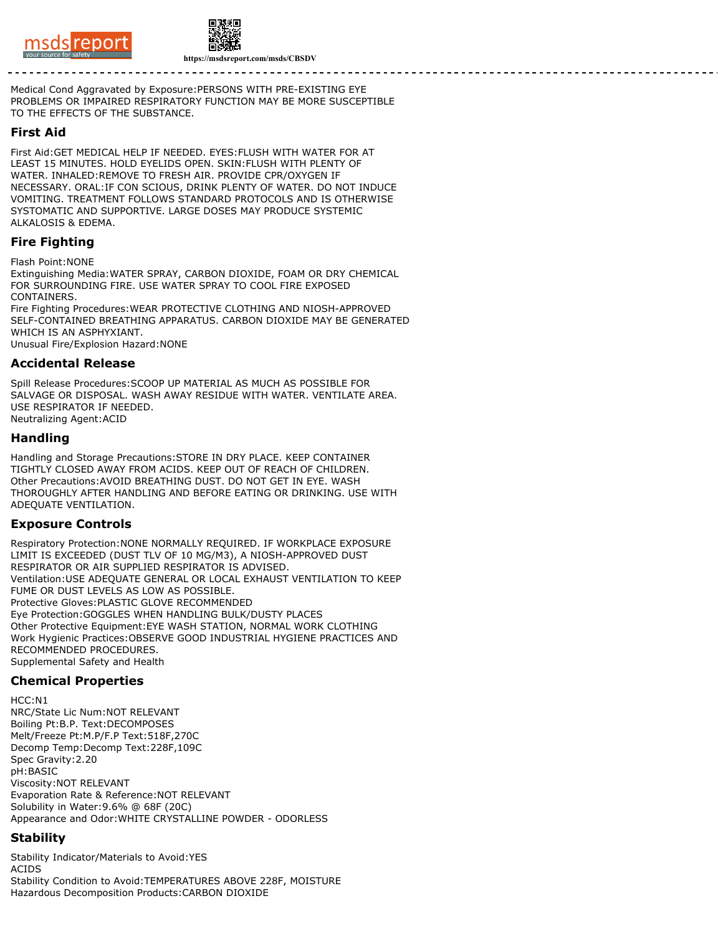



Medical Cond Aggravated by Exposure:PERSONS WITH PRE-EXISTING EYE PROBLEMS OR IMPAIRED RESPIRATORY FUNCTION MAY BE MORE SUSCEPTIBLE TO THE EFFECTS OF THE SUBSTANCE.

### **First Aid**

First Aid:GET MEDICAL HELP IF NEEDED. EYES:FLUSH WITH WATER FOR AT LEAST 15 MINUTES. HOLD EYELIDS OPEN. SKIN:FLUSH WITH PLENTY OF WATER. INHALED:REMOVE TO FRESH AIR. PROVIDE CPR/OXYGEN IF NECESSARY. ORAL:IF CON SCIOUS, DRINK PLENTY OF WATER. DO NOT INDUCE VOMITING. TREATMENT FOLLOWS STANDARD PROTOCOLS AND IS OTHERWISE SYSTOMATIC AND SUPPORTIVE. LARGE DOSES MAY PRODUCE SYSTEMIC ALKALOSIS & EDEMA.

## **Fire Fighting**

Flash Point:NONE

Extinguishing Media:WATER SPRAY, CARBON DIOXIDE, FOAM OR DRY CHEMICAL FOR SURROUNDING FIRE. USE WATER SPRAY TO COOL FIRE EXPOSED CONTAINERS.

Fire Fighting Procedures:WEAR PROTECTIVE CLOTHING AND NIOSH-APPROVED SELF-CONTAINED BREATHING APPARATUS. CARBON DIOXIDE MAY BE GENERATED WHICH IS AN ASPHYXIANT.

Unusual Fire/Explosion Hazard:NONE

#### **Accidental Release**

Spill Release Procedures:SCOOP UP MATERIAL AS MUCH AS POSSIBLE FOR SALVAGE OR DISPOSAL. WASH AWAY RESIDUE WITH WATER. VENTILATE AREA. USE RESPIRATOR IF NEEDED. Neutralizing Agent:ACID

#### **Handling**

Handling and Storage Precautions:STORE IN DRY PLACE. KEEP CONTAINER TIGHTLY CLOSED AWAY FROM ACIDS. KEEP OUT OF REACH OF CHILDREN. Other Precautions:AVOID BREATHING DUST. DO NOT GET IN EYE. WASH THOROUGHLY AFTER HANDLING AND BEFORE EATING OR DRINKING. USE WITH ADEQUATE VENTILATION.

#### **Exposure Controls**

Respiratory Protection:NONE NORMALLY REQUIRED. IF WORKPLACE EXPOSURE LIMIT IS EXCEEDED (DUST TLV OF 10 MG/M3), A NIOSH-APPROVED DUST RESPIRATOR OR AIR SUPPLIED RESPIRATOR IS ADVISED. Ventilation:USE ADEQUATE GENERAL OR LOCAL EXHAUST VENTILATION TO KEEP FUME OR DUST LEVELS AS LOW AS POSSIBLE. Protective Gloves:PLASTIC GLOVE RECOMMENDED Eye Protection:GOGGLES WHEN HANDLING BULK/DUSTY PLACES Other Protective Equipment:EYE WASH STATION, NORMAL WORK CLOTHING Work Hygienic Practices:OBSERVE GOOD INDUSTRIAL HYGIENE PRACTICES AND RECOMMENDED PROCEDURES. Supplemental Safety and Health

## **Chemical Properties**

HCC:N1 NRC/State Lic Num:NOT RELEVANT Boiling Pt:B.P. Text:DECOMPOSES Melt/Freeze Pt:M.P/F.P Text:518F,270C Decomp Temp:Decomp Text:228F,109C Spec Gravity:2.20 pH:BASIC Viscosity:NOT RELEVANT Evaporation Rate & Reference:NOT RELEVANT Solubility in Water:9.6% @ 68F (20C) Appearance and Odor:WHITE CRYSTALLINE POWDER - ODORLESS

## **Stability**

Stability Indicator/Materials to Avoid:YES ACIDS Stability Condition to Avoid:TEMPERATURES ABOVE 228F, MOISTURE Hazardous Decomposition Products:CARBON DIOXIDE